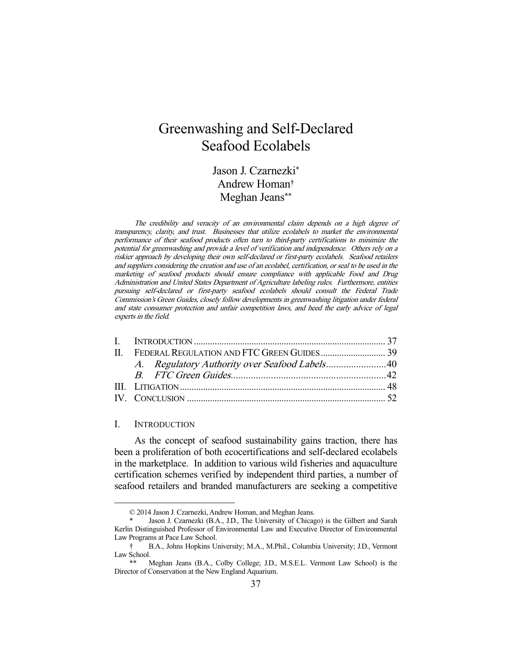# Greenwashing and Self-Declared Seafood Ecolabels

# Jason J. Czarnezki\* Andrew Homan† Meghan Jeans\*\*

The credibility and veracity of an environmental claim depends on a high degree of transparency, clarity, and trust. Businesses that utilize ecolabels to market the environmental performance of their seafood products often turn to third-party certifications to minimize the potential for greenwashing and provide a level of verification and independence. Others rely on a riskier approach by developing their own self-declared or first-party ecolabels. Seafood retailers and suppliers considering the creation and use of an ecolabel, certification, or seal to be used in the marketing of seafood products should ensure compliance with applicable Food and Drug Administration and United States Department of Agriculture labeling rules. Furthermore, entities pursuing self-declared or first-party seafood ecolabels should consult the Federal Trade Commission's Green Guides, closely follow developments in greenwashing litigation under federal and state consumer protection and unfair competition laws, and heed the early advice of legal experts in the field.

### I. INTRODUCTION

-

 As the concept of seafood sustainability gains traction, there has been a proliferation of both ecocertifications and self-declared ecolabels in the marketplace. In addition to various wild fisheries and aquaculture certification schemes verified by independent third parties, a number of seafood retailers and branded manufacturers are seeking a competitive

 <sup>© 2014</sup> Jason J. Czarnezki, Andrew Homan, and Meghan Jeans.

Jason J. Czarnezki (B.A., J.D., The University of Chicago) is the Gilbert and Sarah Kerlin Distinguished Professor of Environmental Law and Executive Director of Environmental Law Programs at Pace Law School.

 <sup>†</sup> B.A., Johns Hopkins University; M.A., M.Phil., Columbia University; J.D., Vermont Law School.

Meghan Jeans (B.A., Colby College; J.D., M.S.E.L. Vermont Law School) is the Director of Conservation at the New England Aquarium.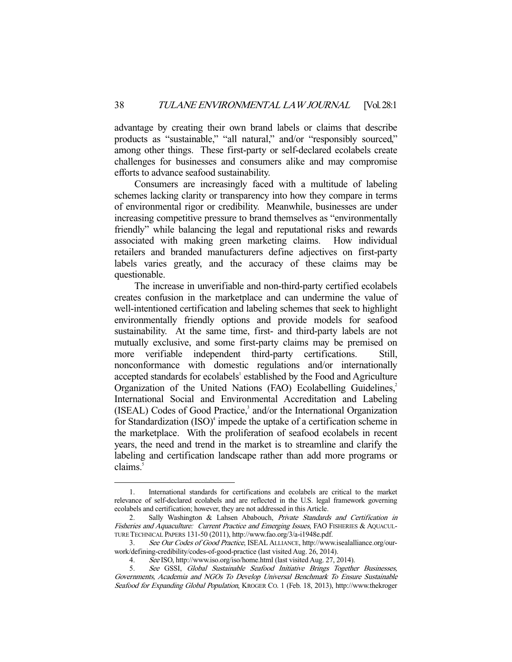advantage by creating their own brand labels or claims that describe products as "sustainable," "all natural," and/or "responsibly sourced," among other things. These first-party or self-declared ecolabels create challenges for businesses and consumers alike and may compromise efforts to advance seafood sustainability.

 Consumers are increasingly faced with a multitude of labeling schemes lacking clarity or transparency into how they compare in terms of environmental rigor or credibility. Meanwhile, businesses are under increasing competitive pressure to brand themselves as "environmentally friendly" while balancing the legal and reputational risks and rewards associated with making green marketing claims. How individual retailers and branded manufacturers define adjectives on first-party labels varies greatly, and the accuracy of these claims may be questionable.

 The increase in unverifiable and non-third-party certified ecolabels creates confusion in the marketplace and can undermine the value of well-intentioned certification and labeling schemes that seek to highlight environmentally friendly options and provide models for seafood sustainability. At the same time, first- and third-party labels are not mutually exclusive, and some first-party claims may be premised on more verifiable independent third-party certifications. Still, nonconformance with domestic regulations and/or internationally accepted standards for ecolabels<sup>1</sup> established by the Food and Agriculture Organization of the United Nations (FAO) Ecolabelling Guidelines,<sup>2</sup> International Social and Environmental Accreditation and Labeling (ISEAL) Codes of Good Practice,<sup>3</sup> and/or the International Organization for Standardization (ISO)<sup>4</sup> impede the uptake of a certification scheme in the marketplace. With the proliferation of seafood ecolabels in recent years, the need and trend in the market is to streamline and clarify the labeling and certification landscape rather than add more programs or claims.<sup>5</sup>

 <sup>1.</sup> International standards for certifications and ecolabels are critical to the market relevance of self-declared ecolabels and are reflected in the U.S. legal framework governing ecolabels and certification; however, they are not addressed in this Article.

<sup>2.</sup> Sally Washington & Lahsen Ababouch, Private Standards and Certification in Fisheries and Aquaculture: Current Practice and Emerging Issues, FAO FISHERIES & AQUACUL-TURE TECHNICAL PAPERS 131-50 (2011), http://www.fao.org/3/a-i1948e.pdf.

 <sup>3.</sup> See Our Codes of Good Practice, ISEAL ALLIANCE, http://www.isealalliance.org/ourwork/defining-credibility/codes-of-good-practice (last visited Aug. 26, 2014).

 <sup>4.</sup> See ISO, http://www.iso.org/iso/home.html (last visited Aug. 27, 2014).

 <sup>5.</sup> See GSSI, Global Sustainable Seafood Initiative Brings Together Businesses, Governments, Academia and NGOs To Develop Universal Benchmark To Ensure Sustainable Seafood for Expanding Global Population, KROGER CO. 1 (Feb. 18, 2013), http://www.thekroger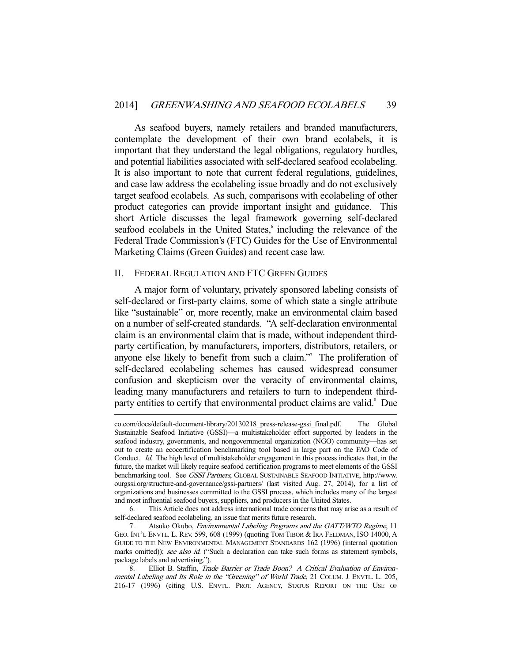As seafood buyers, namely retailers and branded manufacturers, contemplate the development of their own brand ecolabels, it is important that they understand the legal obligations, regulatory hurdles, and potential liabilities associated with self-declared seafood ecolabeling. It is also important to note that current federal regulations, guidelines, and case law address the ecolabeling issue broadly and do not exclusively target seafood ecolabels. As such, comparisons with ecolabeling of other product categories can provide important insight and guidance. This short Article discusses the legal framework governing self-declared seafood ecolabels in the United States,<sup>6</sup> including the relevance of the Federal Trade Commission's (FTC) Guides for the Use of Environmental Marketing Claims (Green Guides) and recent case law.

# II. FEDERAL REGULATION AND FTC GREEN GUIDES

-

 A major form of voluntary, privately sponsored labeling consists of self-declared or first-party claims, some of which state a single attribute like "sustainable" or, more recently, make an environmental claim based on a number of self-created standards. "A self-declaration environmental claim is an environmental claim that is made, without independent thirdparty certification, by manufacturers, importers, distributors, retailers, or anyone else likely to benefit from such a claim."<sup>7</sup> The proliferation of self-declared ecolabeling schemes has caused widespread consumer confusion and skepticism over the veracity of environmental claims, leading many manufacturers and retailers to turn to independent thirdparty entities to certify that environmental product claims are valid.<sup>8</sup> Due

 8. Elliot B. Staffin, Trade Barrier or Trade Boon? A Critical Evaluation of Environmental Labeling and Its Role in the "Greening" of World Trade, 21 COLUM. J. ENVTL. L. 205, 216-17 (1996) (citing U.S. ENVTL. PROT. AGENCY, STATUS REPORT ON THE USE OF

co.com/docs/default-document-library/20130218\_press-release-gssi\_final.pdf. The Global Sustainable Seafood Initiative (GSSI)—a multistakeholder effort supported by leaders in the seafood industry, governments, and nongovernmental organization (NGO) community—has set out to create an ecocertification benchmarking tool based in large part on the FAO Code of Conduct. Id. The high level of multistakeholder engagement in this process indicates that, in the future, the market will likely require seafood certification programs to meet elements of the GSSI benchmarking tool. See GSSI Partners, GLOBAL SUSTAINABLE SEAFOOD INITIATIVE, http://www. ourgssi.org/structure-and-governance/gssi-partners/ (last visited Aug. 27, 2014), for a list of organizations and businesses committed to the GSSI process, which includes many of the largest and most influential seafood buyers, suppliers, and producers in the United States.

 <sup>6.</sup> This Article does not address international trade concerns that may arise as a result of self-declared seafood ecolabeling, an issue that merits future research.<br>7. Atsuko Okubo, Environmental Labeling Programs and th

Atsuko Okubo, Environmental Labeling Programs and the GATT/WTO Regime, 11 GEO. INT'L ENVTL. L. REV. 599, 608 (1999) (quoting TOM TIBOR & IRA FELDMAN, ISO 14000, A GUIDE TO THE NEW ENVIRONMENTAL MANAGEMENT STANDARDS 162 (1996) (internal quotation marks omitted)); see also id. ("Such a declaration can take such forms as statement symbols, package labels and advertising.").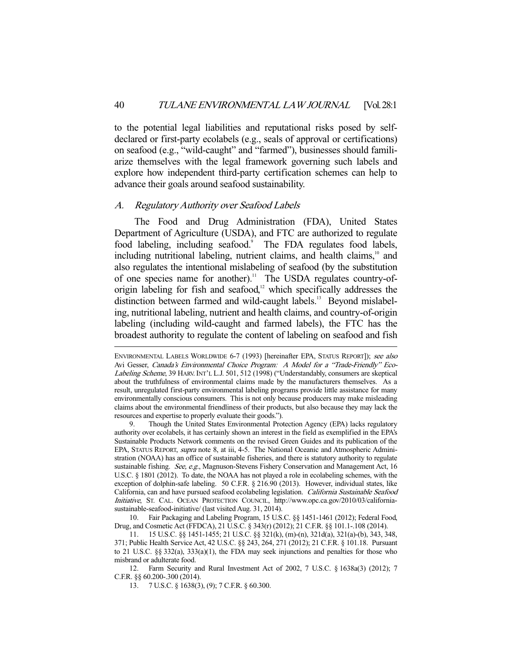to the potential legal liabilities and reputational risks posed by selfdeclared or first-party ecolabels (e.g., seals of approval or certifications) on seafood (e.g., "wild-caught" and "farmed"), businesses should familiarize themselves with the legal framework governing such labels and explore how independent third-party certification schemes can help to advance their goals around seafood sustainability.

#### A. Regulatory Authority over Seafood Labels

-

 The Food and Drug Administration (FDA), United States Department of Agriculture (USDA), and FTC are authorized to regulate food labeling, including seafood.<sup>9</sup> The FDA regulates food labels, including nutritional labeling, nutrient claims, and health claims,<sup>10</sup> and also regulates the intentional mislabeling of seafood (by the substitution of one species name for another).<sup>11</sup> The USDA regulates country-oforigin labeling for fish and seafood, $12$  which specifically addresses the distinction between farmed and wild-caught labels.<sup>13</sup> Beyond mislabeling, nutritional labeling, nutrient and health claims, and country-of-origin labeling (including wild-caught and farmed labels), the FTC has the broadest authority to regulate the content of labeling on seafood and fish

 10. Fair Packaging and Labeling Program, 15 U.S.C. §§ 1451-1461 (2012); Federal Food, Drug, and Cosmetic Act (FFDCA), 21 U.S.C. § 343(r) (2012); 21 C.F.R. §§ 101.1-.108 (2014).

 11. 15 U.S.C. §§ 1451-1455; 21 U.S.C. §§ 321(k), (m)-(n), 321d(a), 321(a)-(b), 343, 348, 371; Public Health Service Act, 42 U.S.C. §§ 243, 264, 271 (2012); 21 C.F.R. § 101.18. Pursuant to 21 U.S.C.  $\S$ § 332(a), 333(a)(1), the FDA may seek injunctions and penalties for those who misbrand or adulterate food.

 12. Farm Security and Rural Investment Act of 2002, 7 U.S.C. § 1638a(3) (2012); 7 C.F.R. §§ 60.200-.300 (2014).

13. 7 U.S.C. § 1638(3), (9); 7 C.F.R. § 60.300.

ENVIRONMENTAL LABELS WORLDWIDE 6-7 (1993) [hereinafter EPA, STATUS REPORT]); see also Avi Gesser, Canada's Environmental Choice Program: A Model for a "Trade-Friendly" Eco-Labeling Scheme, 39 HARV. INT'L L.J. 501, 512 (1998) ("Understandably, consumers are skeptical about the truthfulness of environmental claims made by the manufacturers themselves. As a result, unregulated first-party environmental labeling programs provide little assistance for many environmentally conscious consumers. This is not only because producers may make misleading claims about the environmental friendliness of their products, but also because they may lack the resources and expertise to properly evaluate their goods.").

 <sup>9.</sup> Though the United States Environmental Protection Agency (EPA) lacks regulatory authority over ecolabels, it has certainly shown an interest in the field as exemplified in the EPA's Sustainable Products Network comments on the revised Green Guides and its publication of the EPA, STATUS REPORT, supra note 8, at iii, 4-5. The National Oceanic and Atmospheric Administration (NOAA) has an office of sustainable fisheries, and there is statutory authority to regulate sustainable fishing. See, e.g., Magnuson-Stevens Fishery Conservation and Management Act, 16 U.S.C. § 1801 (2012). To date, the NOAA has not played a role in ecolabeling schemes, with the exception of dolphin-safe labeling. 50 C.F.R. § 216.90 (2013). However, individual states, like California, can and have pursued seafood ecolabeling legislation. California Sustainable Seafood Initiative, ST. CAL. OCEAN PROTECTION COUNCIL, http://www.opc.ca.gov/2010/03/californiasustainable-seafood-initiative/ (last visited Aug. 31, 2014).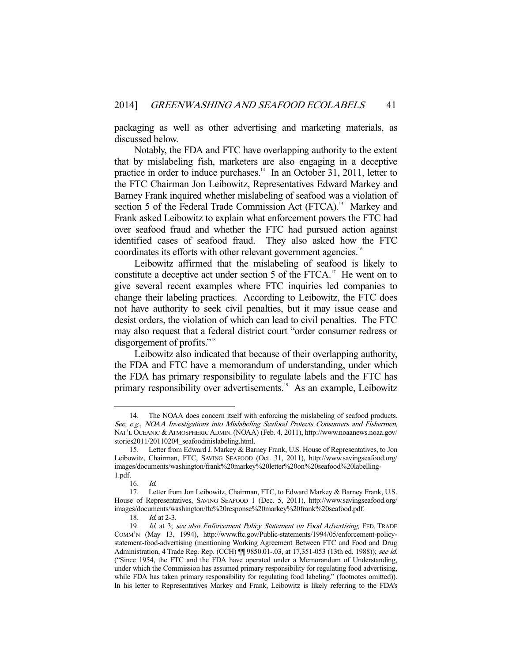packaging as well as other advertising and marketing materials, as discussed below.

 Notably, the FDA and FTC have overlapping authority to the extent that by mislabeling fish, marketers are also engaging in a deceptive practice in order to induce purchases.<sup>14</sup> In an October 31, 2011, letter to the FTC Chairman Jon Leibowitz, Representatives Edward Markey and Barney Frank inquired whether mislabeling of seafood was a violation of section 5 of the Federal Trade Commission Act (FTCA).<sup>15</sup> Markey and Frank asked Leibowitz to explain what enforcement powers the FTC had over seafood fraud and whether the FTC had pursued action against identified cases of seafood fraud. They also asked how the FTC coordinates its efforts with other relevant government agencies.<sup>16</sup>

 Leibowitz affirmed that the mislabeling of seafood is likely to constitute a deceptive act under section 5 of the FTCA.<sup>17</sup> He went on to give several recent examples where FTC inquiries led companies to change their labeling practices. According to Leibowitz, the FTC does not have authority to seek civil penalties, but it may issue cease and desist orders, the violation of which can lead to civil penalties. The FTC may also request that a federal district court "order consumer redress or disgorgement of profits."<sup>18</sup>

 Leibowitz also indicated that because of their overlapping authority, the FDA and FTC have a memorandum of understanding, under which the FDA has primary responsibility to regulate labels and the FTC has primary responsibility over advertisements.<sup>19</sup> As an example, Leibowitz

 <sup>14.</sup> The NOAA does concern itself with enforcing the mislabeling of seafood products. See, e.g., NOAA Investigations into Mislabeling Seafood Protects Consumers and Fishermen, NAT'L OCEANIC & ATMOSPHERIC ADMIN. (NOAA) (Feb. 4, 2011), http://www.noaanews.noaa.gov/ stories2011/20110204\_seafoodmislabeling.html.

 <sup>15.</sup> Letter from Edward J. Markey & Barney Frank, U.S. House of Representatives, to Jon Leibowitz, Chairman, FTC, SAVING SEAFOOD (Oct. 31, 2011), http://www.savingseafood.org/ images/documents/washington/frank%20markey%20letter%20on%20seafood%20labelling-1.pdf.

 <sup>16.</sup> Id.

 <sup>17.</sup> Letter from Jon Leibowitz, Chairman, FTC, to Edward Markey & Barney Frank, U.S. House of Representatives, SAVING SEAFOOD 1 (Dec. 5, 2011), http://www.savingseafood.org/ images/documents/washington/ftc%20response%20markey%20frank%20seafood.pdf.

<sup>18.</sup> *Id.* at  $2-3$ .

<sup>19.</sup> Id. at 3; see also Enforcement Policy Statement on Food Advertising, FED. TRADE COMM'N (May 13, 1994), http://www.ftc.gov/Public-statements/1994/05/enforcement-policystatement-food-advertising (mentioning Working Agreement Between FTC and Food and Drug Administration, 4 Trade Reg. Rep. (CCH)  $\P\P$  9850.01-.03, at 17,351-053 (13th ed. 1988)); see id. ("Since 1954, the FTC and the FDA have operated under a Memorandum of Understanding, under which the Commission has assumed primary responsibility for regulating food advertising, while FDA has taken primary responsibility for regulating food labeling." (footnotes omitted)). In his letter to Representatives Markey and Frank, Leibowitz is likely referring to the FDA's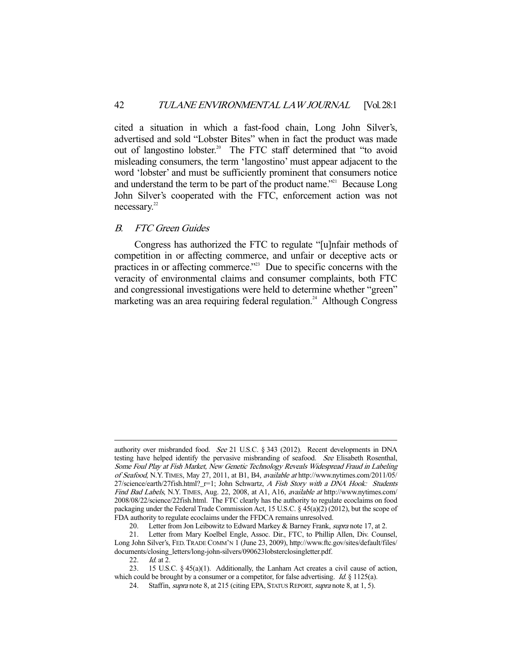cited a situation in which a fast-food chain, Long John Silver's, advertised and sold "Lobster Bites" when in fact the product was made out of langostino lobster.<sup>20</sup> The FTC staff determined that "to avoid misleading consumers, the term 'langostino' must appear adjacent to the word 'lobster' and must be sufficiently prominent that consumers notice and understand the term to be part of the product name."<sup>21</sup> Because Long John Silver's cooperated with the FTC, enforcement action was not necessary.<sup>22</sup>

# B. FTC Green Guides

 Congress has authorized the FTC to regulate "[u]nfair methods of competition in or affecting commerce, and unfair or deceptive acts or practices in or affecting commerce."23 Due to specific concerns with the veracity of environmental claims and consumer complaints, both FTC and congressional investigations were held to determine whether "green" marketing was an area requiring federal regulation.<sup>24</sup> Although Congress

authority over misbranded food. See 21 U.S.C. § 343 (2012). Recent developments in DNA testing have helped identify the pervasive misbranding of seafood. See Elisabeth Rosenthal, Some Foul Play at Fish Market, New Genetic Technology Reveals Widespread Fraud in Labeling of Seafood, N.Y. TIMES, May 27, 2011, at B1, B4, available at http://www.nytimes.com/2011/05/ 27/science/earth/27fish.html?\_r=1; John Schwartz, A Fish Story with a DNA Hook: Students Find Bad Labels, N.Y. TIMES, Aug. 22, 2008, at A1, A16, available at http://www.nytimes.com/ 2008/08/22/science/22fish.html. The FTC clearly has the authority to regulate ecoclaims on food packaging under the Federal Trade Commission Act, 15 U.S.C. § 45(a)(2) (2012), but the scope of FDA authority to regulate ecoclaims under the FFDCA remains unresolved.

<sup>20.</sup> Letter from Jon Leibowitz to Edward Markey & Barney Frank, supra note 17, at 2.

 <sup>21.</sup> Letter from Mary Koelbel Engle, Assoc. Dir., FTC, to Phillip Allen, Div. Counsel, Long John Silver's, FED.TRADE COMM'N 1 (June 23, 2009), http://www.ftc.gov/sites/default/files/ documents/closing\_letters/long-john-silvers/090623lobsterclosingletter.pdf.

<sup>22.</sup> *Id.* at 2.

<sup>23. 15</sup> U.S.C.  $\S$  45(a)(1). Additionally, the Lanham Act creates a civil cause of action, which could be brought by a consumer or a competitor, for false advertising. Id.  $\S$  1125(a).

<sup>24.</sup> Staffin, *supra* note 8, at 215 (citing EPA, STATUS REPORT, *supra* note 8, at 1, 5).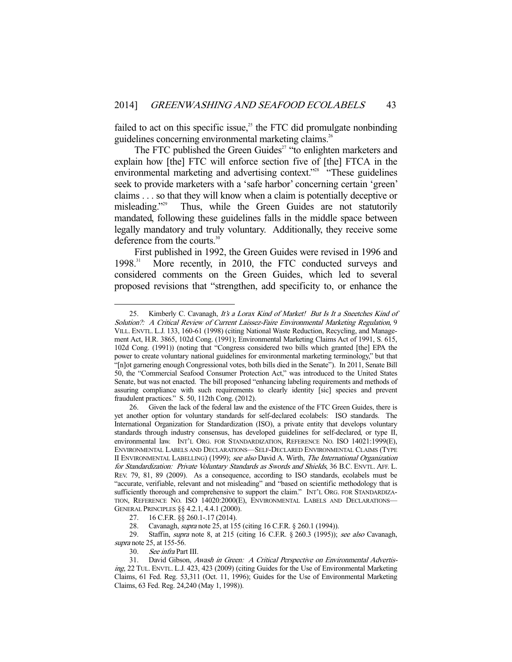failed to act on this specific issue, $25$  the FTC did promulgate nonbinding guidelines concerning environmental marketing claims.<sup>26</sup>

The FTC published the Green Guides<sup>27</sup> "to enlighten marketers and explain how [the] FTC will enforce section five of [the] FTCA in the environmental marketing and advertising context."<sup>28</sup> "These guidelines" seek to provide marketers with a 'safe harbor' concerning certain 'green' claims . . . so that they will know when a claim is potentially deceptive or misleading."<sup>29</sup> Thus, while the Green Guides are not statutorily mandated, following these guidelines falls in the middle space between legally mandatory and truly voluntary. Additionally, they receive some deference from the courts.<sup>30</sup>

 First published in 1992, the Green Guides were revised in 1996 and 1998.<sup>31</sup> More recently, in 2010, the FTC conducted surveys and considered comments on the Green Guides, which led to several proposed revisions that "strengthen, add specificity to, or enhance the

<sup>25.</sup> Kimberly C. Cavanagh, It's a Lorax Kind of Market! But Is It a Sneetches Kind of Solution?: A Critical Review of Current Laissez-Faire Environmental Marketing Regulation, 9 VILL. ENVTL. L.J. 133, 160-61 (1998) (citing National Waste Reduction, Recycling, and Management Act, H.R. 3865, 102d Cong. (1991); Environmental Marketing Claims Act of 1991, S. 615, 102d Cong. (1991)) (noting that "Congress considered two bills which granted [the] EPA the power to create voluntary national guidelines for environmental marketing terminology," but that "[n]ot garnering enough Congressional votes, both bills died in the Senate"). In 2011, Senate Bill 50, the "Commercial Seafood Consumer Protection Act," was introduced to the United States Senate, but was not enacted. The bill proposed "enhancing labeling requirements and methods of assuring compliance with such requirements to clearly identity [sic] species and prevent fraudulent practices." S. 50, 112th Cong. (2012).

 <sup>26.</sup> Given the lack of the federal law and the existence of the FTC Green Guides, there is yet another option for voluntary standards for self-declared ecolabels: ISO standards. The International Organization for Standardization (ISO), a private entity that develops voluntary standards through industry consensus, has developed guidelines for self-declared, or type II, environmental law. INT'L ORG. FOR STANDARDIZATION, REFERENCE NO. ISO 14021:1999(E), ENVIRONMENTAL LABELS AND DECLARATIONS—SELF-DECLARED ENVIRONMENTAL CLAIMS (TYPE II ENVIRONMENTAL LABELLING) (1999); see also David A. Wirth, The International Organization for Standardization: Private Voluntary Standards as Swords and Shields, 36 B.C. ENVTL. AFF. L. REV. 79, 81, 89 (2009). As a consequence, according to ISO standards, ecolabels must be "accurate, verifiable, relevant and not misleading" and "based on scientific methodology that is sufficiently thorough and comprehensive to support the claim." INT'L ORG. FOR STANDARDIZA-TION, REFERENCE NO. ISO 14020:2000(E), ENVIRONMENTAL LABELS AND DECLARATIONS— GENERAL PRINCIPLES §§ 4.2.1, 4.4.1 (2000).

 <sup>27. 16</sup> C.F.R. §§ 260.1-.17 (2014).

<sup>28.</sup> Cavanagh, *supra* note 25, at 155 (citing 16 C.F.R. § 260.1 (1994)).

<sup>29.</sup> Staffin, supra note 8, at 215 (citing 16 C.F.R. § 260.3 (1995)); see also Cavanagh, supra note 25, at 155-56.

 <sup>30.</sup> See infra Part III.

 <sup>31.</sup> David Gibson, Awash in Green: A Critical Perspective on Environmental Advertising, 22 TUL. ENVTL. L.J. 423, 423 (2009) (citing Guides for the Use of Environmental Marketing Claims, 61 Fed. Reg. 53,311 (Oct. 11, 1996); Guides for the Use of Environmental Marketing Claims, 63 Fed. Reg. 24,240 (May 1, 1998)).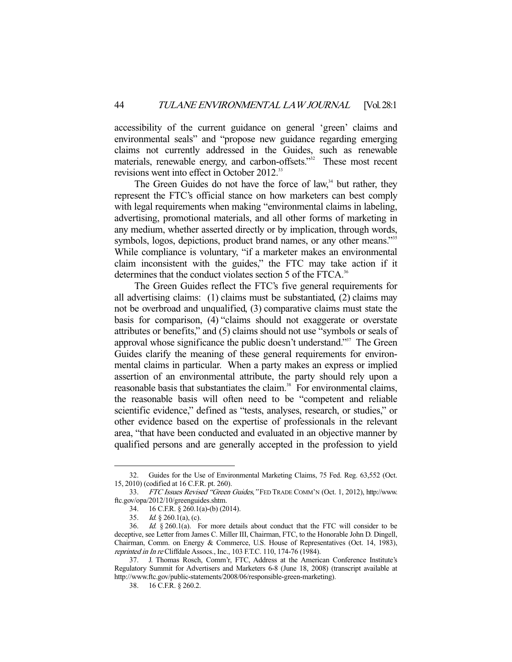accessibility of the current guidance on general 'green' claims and environmental seals" and "propose new guidance regarding emerging claims not currently addressed in the Guides, such as renewable materials, renewable energy, and carbon-offsets."<sup>32</sup> These most recent revisions went into effect in October 2012.<sup>33</sup>

The Green Guides do not have the force of  $law<sup>34</sup>$  but rather, they represent the FTC's official stance on how marketers can best comply with legal requirements when making "environmental claims in labeling, advertising, promotional materials, and all other forms of marketing in any medium, whether asserted directly or by implication, through words, symbols, logos, depictions, product brand names, or any other means."<sup>35</sup> While compliance is voluntary, "if a marketer makes an environmental claim inconsistent with the guides," the FTC may take action if it determines that the conduct violates section 5 of the FTCA.<sup>36</sup>

 The Green Guides reflect the FTC's five general requirements for all advertising claims: (1) claims must be substantiated, (2) claims may not be overbroad and unqualified, (3) comparative claims must state the basis for comparison, (4) "claims should not exaggerate or overstate attributes or benefits," and (5) claims should not use "symbols or seals of approval whose significance the public doesn't understand."<sup>37</sup> The Green Guides clarify the meaning of these general requirements for environmental claims in particular. When a party makes an express or implied assertion of an environmental attribute, the party should rely upon a reasonable basis that substantiates the claim.<sup>38</sup> For environmental claims, the reasonable basis will often need to be "competent and reliable scientific evidence," defined as "tests, analyses, research, or studies," or other evidence based on the expertise of professionals in the relevant area, "that have been conducted and evaluated in an objective manner by qualified persons and are generally accepted in the profession to yield

 <sup>32.</sup> Guides for the Use of Environmental Marketing Claims, 75 Fed. Reg. 63,552 (Oct. 15, 2010) (codified at 16 C.F.R. pt. 260).

 <sup>33.</sup> FTC Issues Revised "Green Guides," FED TRADE COMM'N (Oct. 1, 2012), http://www. ftc.gov/opa/2012/10/greenguides.shtm.

 <sup>34. 16</sup> C.F.R. § 260.1(a)-(b) (2014).

<sup>35.</sup> *Id.* § 260.1(a), (c).

 <sup>36.</sup> Id. § 260.1(a). For more details about conduct that the FTC will consider to be deceptive, see Letter from James C. Miller III, Chairman, FTC, to the Honorable John D. Dingell, Chairman, Comm. on Energy & Commerce, U.S. House of Representatives (Oct. 14, 1983), reprinted in In re Cliffdale Assocs., Inc., 103 F.T.C. 110, 174-76 (1984).

 <sup>37.</sup> J. Thomas Rosch, Comm'r, FTC, Address at the American Conference Institute's Regulatory Summit for Advertisers and Marketers 6-8 (June 18, 2008) (transcript available at http://www.ftc.gov/public-statements/2008/06/responsible-green-marketing).

 <sup>38. 16</sup> C.F.R. § 260.2.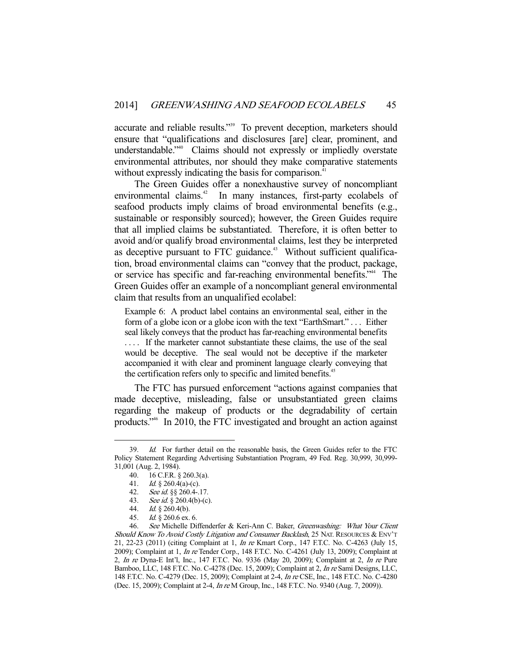accurate and reliable results."<sup>39</sup> To prevent deception, marketers should ensure that "qualifications and disclosures [are] clear, prominent, and understandable."<sup>40</sup> Claims should not expressly or impliedly overstate environmental attributes, nor should they make comparative statements without expressly indicating the basis for comparison.<sup>41</sup>

 The Green Guides offer a nonexhaustive survey of noncompliant environmental claims.<sup>42</sup> In many instances, first-party ecolabels of seafood products imply claims of broad environmental benefits (e.g., sustainable or responsibly sourced); however, the Green Guides require that all implied claims be substantiated. Therefore, it is often better to avoid and/or qualify broad environmental claims, lest they be interpreted as deceptive pursuant to FTC guidance.<sup>43</sup> Without sufficient qualification, broad environmental claims can "convey that the product, package, or service has specific and far-reaching environmental benefits."<sup>44</sup> The Green Guides offer an example of a noncompliant general environmental claim that results from an unqualified ecolabel:

Example 6: A product label contains an environmental seal, either in the form of a globe icon or a globe icon with the text "EarthSmart." . . . Either seal likely conveys that the product has far-reaching environmental benefits .... If the marketer cannot substantiate these claims, the use of the seal would be deceptive. The seal would not be deceptive if the marketer accompanied it with clear and prominent language clearly conveying that the certification refers only to specific and limited benefits.<sup>45</sup>

 The FTC has pursued enforcement "actions against companies that made deceptive, misleading, false or unsubstantiated green claims regarding the makeup of products or the degradability of certain products."46 In 2010, the FTC investigated and brought an action against

 <sup>39.</sup> Id. For further detail on the reasonable basis, the Green Guides refer to the FTC Policy Statement Regarding Advertising Substantiation Program, 49 Fed. Reg. 30,999, 30,999- 31,001 (Aug. 2, 1984).

 <sup>40. 16</sup> C.F.R. § 260.3(a).

 <sup>41.</sup> Id. § 260.4(a)-(c).

<sup>42.</sup> See id. §§ 260.4-.17.

<sup>43.</sup> See id. § 260.4(b)-(c).

 <sup>44.</sup> Id. § 260.4(b).

 <sup>45.</sup> Id. § 260.6 ex. 6.

<sup>46.</sup> See Michelle Diffenderfer & Keri-Ann C. Baker, Greenwashing: What Your Client Should Know To Avoid Costly Litigation and Consumer Backlash, 25 NAT. RESOURCES & ENV'T 21, 22-23 (2011) (citing Complaint at 1, In re Kmart Corp., 147 F.T.C. No. C-4263 (July 15, 2009); Complaint at  $1$ , *In re* Tender Corp., 148 F.T.C. No. C-4261 (July 13, 2009); Complaint at 2, In re Dyna-E Int'l, Inc., 147 F.T.C. No. 9336 (May 20, 2009); Complaint at 2, In re Pure Bamboo, LLC, 148 F.T.C. No. C-4278 (Dec. 15, 2009); Complaint at 2, In re Sami Designs, LLC, 148 F.T.C. No. C-4279 (Dec. 15, 2009); Complaint at 2-4, In re CSE, Inc., 148 F.T.C. No. C-4280 (Dec. 15, 2009); Complaint at 2-4, *In re* M Group, Inc., 148 F.T.C. No. 9340 (Aug. 7, 2009)).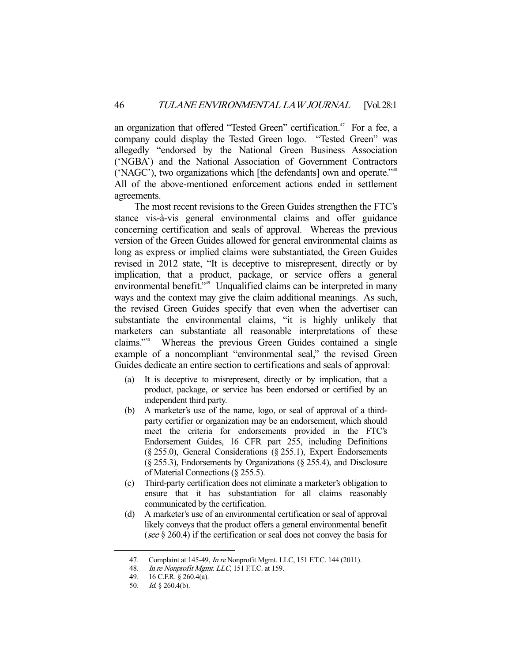an organization that offered "Tested Green" certification.<sup>47</sup> For a fee, a company could display the Tested Green logo. "Tested Green" was allegedly "endorsed by the National Green Business Association ('NGBA') and the National Association of Government Contractors ('NAGC'), two organizations which [the defendants] own and operate."48 All of the above-mentioned enforcement actions ended in settlement agreements.

 The most recent revisions to the Green Guides strengthen the FTC's stance vis-à-vis general environmental claims and offer guidance concerning certification and seals of approval. Whereas the previous version of the Green Guides allowed for general environmental claims as long as express or implied claims were substantiated, the Green Guides revised in 2012 state, "It is deceptive to misrepresent, directly or by implication, that a product, package, or service offers a general environmental benefit."<sup>49</sup> Unqualified claims can be interpreted in many ways and the context may give the claim additional meanings. As such, the revised Green Guides specify that even when the advertiser can substantiate the environmental claims, "it is highly unlikely that marketers can substantiate all reasonable interpretations of these claims."50 Whereas the previous Green Guides contained a single example of a noncompliant "environmental seal," the revised Green Guides dedicate an entire section to certifications and seals of approval:

- (a) It is deceptive to misrepresent, directly or by implication, that a product, package, or service has been endorsed or certified by an independent third party.
- (b) A marketer's use of the name, logo, or seal of approval of a thirdparty certifier or organization may be an endorsement, which should meet the criteria for endorsements provided in the FTC's Endorsement Guides, 16 CFR part 255, including Definitions (§ 255.0), General Considerations (§ 255.1), Expert Endorsements (§ 255.3), Endorsements by Organizations (§ 255.4), and Disclosure of Material Connections (§ 255.5).
- (c) Third-party certification does not eliminate a marketer's obligation to ensure that it has substantiation for all claims reasonably communicated by the certification.
- (d) A marketer's use of an environmental certification or seal of approval likely conveys that the product offers a general environmental benefit (see  $\S 260.4$ ) if the certification or seal does not convey the basis for

 <sup>47.</sup> Complaint at 145-49, In re Nonprofit Mgmt. LLC, 151 F.T.C. 144 (2011).

<sup>48.</sup> In re Nonprofit Mgmt. LLC, 151 F.T.C. at 159.

 <sup>49. 16</sup> C.F.R. § 260.4(a).

 <sup>50.</sup> Id. § 260.4(b).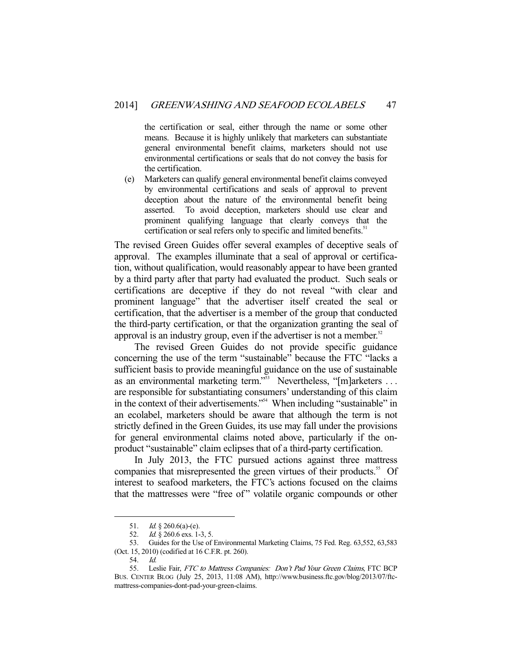the certification or seal, either through the name or some other means. Because it is highly unlikely that marketers can substantiate general environmental benefit claims, marketers should not use environmental certifications or seals that do not convey the basis for the certification.

(e) Marketers can qualify general environmental benefit claims conveyed by environmental certifications and seals of approval to prevent deception about the nature of the environmental benefit being asserted. To avoid deception, marketers should use clear and prominent qualifying language that clearly conveys that the certification or seal refers only to specific and limited benefits.<sup>51</sup>

The revised Green Guides offer several examples of deceptive seals of approval. The examples illuminate that a seal of approval or certification, without qualification, would reasonably appear to have been granted by a third party after that party had evaluated the product. Such seals or certifications are deceptive if they do not reveal "with clear and prominent language" that the advertiser itself created the seal or certification, that the advertiser is a member of the group that conducted the third-party certification, or that the organization granting the seal of approval is an industry group, even if the advertiser is not a member.<sup>52</sup>

 The revised Green Guides do not provide specific guidance concerning the use of the term "sustainable" because the FTC "lacks a sufficient basis to provide meaningful guidance on the use of sustainable as an environmental marketing term."<sup>53</sup> Nevertheless, "[m]arketers ... are responsible for substantiating consumers' understanding of this claim in the context of their advertisements."54 When including "sustainable" in an ecolabel, marketers should be aware that although the term is not strictly defined in the Green Guides, its use may fall under the provisions for general environmental claims noted above, particularly if the onproduct "sustainable" claim eclipses that of a third-party certification.

 In July 2013, the FTC pursued actions against three mattress companies that misrepresented the green virtues of their products.<sup>55</sup> Of interest to seafood marketers, the FTC's actions focused on the claims that the mattresses were "free of" volatile organic compounds or other

<sup>51.</sup> *Id.* § 260.6(a)-(e).

<sup>52.</sup> *Id.* § 260.6 exs. 1-3, 5.

 <sup>53.</sup> Guides for the Use of Environmental Marketing Claims, 75 Fed. Reg. 63,552, 63,583 (Oct. 15, 2010) (codified at 16 C.F.R. pt. 260).

 <sup>54.</sup> Id.

<sup>55.</sup> Leslie Fair, FTC to Mattress Companies: Don't Pad Your Green Claims, FTC BCP BUS. CENTER BLOG (July 25, 2013, 11:08 AM), http://www.business.ftc.gov/blog/2013/07/ftcmattress-companies-dont-pad-your-green-claims.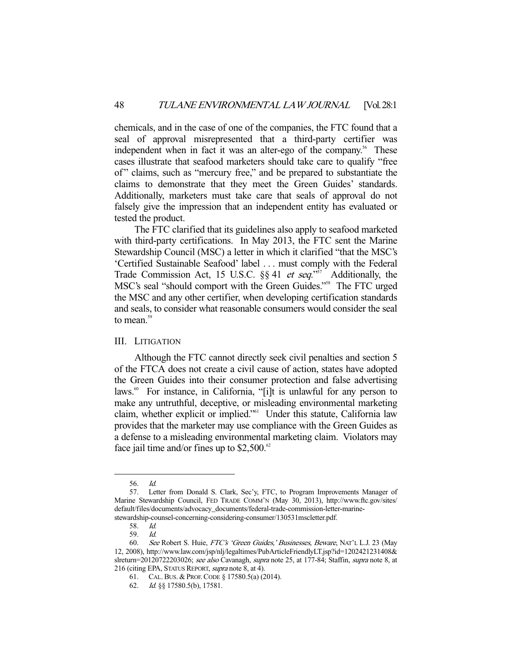chemicals, and in the case of one of the companies, the FTC found that a seal of approval misrepresented that a third-party certifier was independent when in fact it was an alter-ego of the company.<sup>56</sup> These cases illustrate that seafood marketers should take care to qualify "free of " claims, such as "mercury free," and be prepared to substantiate the claims to demonstrate that they meet the Green Guides' standards. Additionally, marketers must take care that seals of approval do not falsely give the impression that an independent entity has evaluated or tested the product.

 The FTC clarified that its guidelines also apply to seafood marketed with third-party certifications. In May 2013, the FTC sent the Marine Stewardship Council (MSC) a letter in which it clarified "that the MSC's 'Certified Sustainable Seafood' label . . . must comply with the Federal Trade Commission Act, 15 U.S.C.  $\S\S 41$  *et seq.*"<sup>57</sup> Additionally, the MSC's seal "should comport with the Green Guides."<sup>58</sup> The FTC urged the MSC and any other certifier, when developing certification standards and seals, to consider what reasonable consumers would consider the seal to mean. $59$ 

#### III. LITIGATION

 Although the FTC cannot directly seek civil penalties and section 5 of the FTCA does not create a civil cause of action, states have adopted the Green Guides into their consumer protection and false advertising laws.<sup>60</sup> For instance, in California, "[i]t is unlawful for any person to make any untruthful, deceptive, or misleading environmental marketing claim, whether explicit or implied."<sup>61</sup> Under this statute, California law provides that the marketer may use compliance with the Green Guides as a defense to a misleading environmental marketing claim. Violators may face jail time and/or fines up to  $$2,500$ .<sup>62</sup>

 <sup>56.</sup> Id.

 <sup>57.</sup> Letter from Donald S. Clark, Sec'y, FTC, to Program Improvements Manager of Marine Stewardship Council, FED TRADE COMM'N (May 30, 2013), http://www.ftc.gov/sites/ default/files/documents/advocacy\_documents/federal-trade-commission-letter-marinestewardship-counsel-concerning-considering-consumer/130531mscletter.pdf.

 <sup>58.</sup> Id.

 <sup>59.</sup> Id.

 <sup>60.</sup> See Robert S. Huie, FTC's 'Green Guides,' Businesses, Beware, NAT'L L.J. 23 (May 12, 2008), http://www.law.com/jsp/nlj/legaltimes/PubArticleFriendlyLT.jsp?id=1202421231408& slreturn=20120722203026; see also Cavanagh, supra note 25, at 177-84; Staffin, supra note 8, at 216 (citing EPA, STATUS REPORT, supra note 8, at 4).

 <sup>61.</sup> CAL.BUS. & PROF.CODE § 17580.5(a) (2014).

 <sup>62.</sup> Id. §§ 17580.5(b), 17581.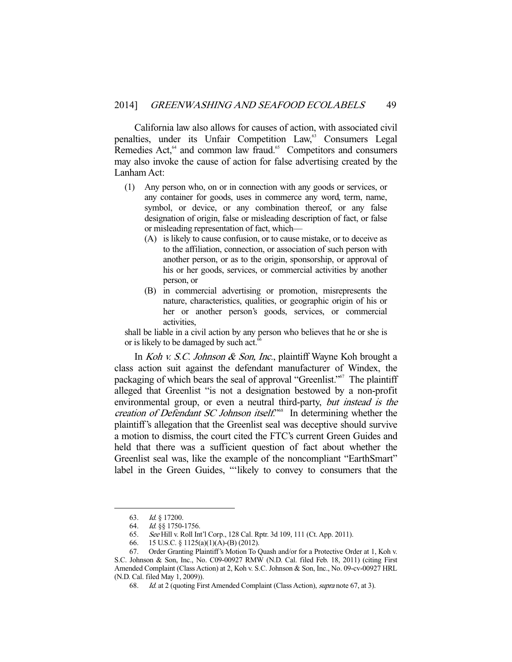California law also allows for causes of action, with associated civil penalties, under its Unfair Competition Law,<sup>63</sup> Consumers Legal Remedies Act, $64$  and common law fraud. $65$  Competitors and consumers may also invoke the cause of action for false advertising created by the Lanham Act:

- (1) Any person who, on or in connection with any goods or services, or any container for goods, uses in commerce any word, term, name, symbol, or device, or any combination thereof, or any false designation of origin, false or misleading description of fact, or false or misleading representation of fact, which—
	- (A) is likely to cause confusion, or to cause mistake, or to deceive as to the affiliation, connection, or association of such person with another person, or as to the origin, sponsorship, or approval of his or her goods, services, or commercial activities by another person, or
	- (B) in commercial advertising or promotion, misrepresents the nature, characteristics, qualities, or geographic origin of his or her or another person's goods, services, or commercial activities,

shall be liable in a civil action by any person who believes that he or she is or is likely to be damaged by such act.<sup>66</sup>

In Koh v. S.C. Johnson & Son, Inc., plaintiff Wayne Koh brought a class action suit against the defendant manufacturer of Windex, the packaging of which bears the seal of approval "Greenlist."<sup>67</sup> The plaintiff alleged that Greenlist "is not a designation bestowed by a non-profit environmental group, or even a neutral third-party, but instead is the creation of Defendant SC Johnson itself."<sup>68</sup> In determining whether the plaintiff's allegation that the Greenlist seal was deceptive should survive a motion to dismiss, the court cited the FTC's current Green Guides and held that there was a sufficient question of fact about whether the Greenlist seal was, like the example of the noncompliant "EarthSmart" label in the Green Guides, "'likely to convey to consumers that the

 <sup>63.</sup> Id. § 17200.

 <sup>64.</sup> Id. §§ 1750-1756.

 <sup>65.</sup> See Hill v. Roll Int'l Corp., 128 Cal. Rptr. 3d 109, 111 (Ct. App. 2011).

 <sup>66. 15</sup> U.S.C. § 1125(a)(1)(A)-(B) (2012).

 <sup>67.</sup> Order Granting Plaintiff's Motion To Quash and/or for a Protective Order at 1, Koh v. S.C. Johnson & Son, Inc., No. C09-00927 RMW (N.D. Cal. filed Feb. 18, 2011) (citing First Amended Complaint (Class Action) at 2, Koh v. S.C. Johnson & Son, Inc., No. 09-cv-00927 HRL (N.D. Cal. filed May 1, 2009)).

<sup>68.</sup> Id. at 2 (quoting First Amended Complaint (Class Action), *supra* note 67, at 3).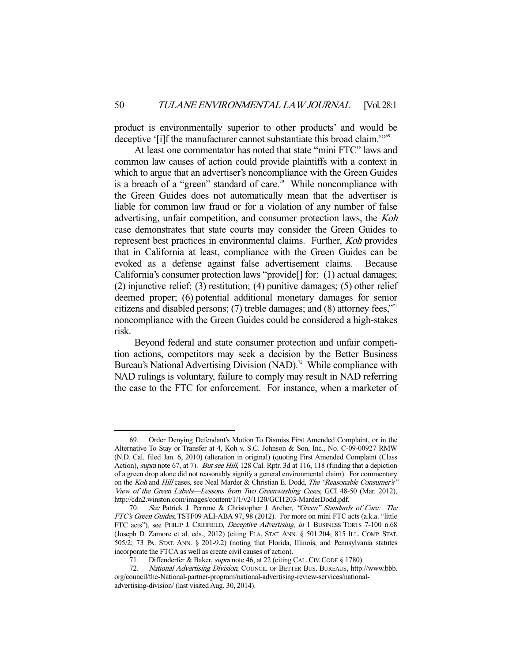product is environmentally superior to other products' and would be deceptive '[i]f the manufacturer cannot substantiate this broad claim."<sup>569</sup>

 At least one commentator has noted that state "mini FTC" laws and common law causes of action could provide plaintiffs with a context in which to argue that an advertiser's noncompliance with the Green Guides is a breach of a "green" standard of care.<sup>70</sup> While noncompliance with the Green Guides does not automatically mean that the advertiser is liable for common law fraud or for a violation of any number of false advertising, unfair competition, and consumer protection laws, the Koh case demonstrates that state courts may consider the Green Guides to represent best practices in environmental claims. Further, Koh provides that in California at least, compliance with the Green Guides can be evoked as a defense against false advertisement claims. Because California's consumer protection laws "provide[] for: (1) actual damages; (2) injunctive relief; (3) restitution; (4) punitive damages; (5) other relief deemed proper; (6) potential additional monetary damages for senior citizens and disabled persons; (7) treble damages; and (8) attorney fees, $"$ <sup>11</sup> noncompliance with the Green Guides could be considered a high-stakes risk.

 Beyond federal and state consumer protection and unfair competition actions, competitors may seek a decision by the Better Business Bureau's National Advertising Division (NAD).<sup>72</sup> While compliance with NAD rulings is voluntary, failure to comply may result in NAD referring the case to the FTC for enforcement. For instance, when a marketer of

 <sup>69.</sup> Order Denying Defendant's Motion To Dismiss First Amended Complaint, or in the Alternative To Stay or Transfer at 4, Koh v. S.C. Johnson & Son, Inc., No. C-09-00927 RMW (N.D. Cal. filed Jan. 6, 2010) (alteration in original) (quoting First Amended Complaint (Class Action), *supra* note 67, at 7). *But see Hill*, 128 Cal. Rptr. 3d at 116, 118 (finding that a depiction of a green drop alone did not reasonably signify a general environmental claim). For commentary on the Koh and Hill cases, see Neal Marder & Christian E. Dodd, The "Reasonable Consumer's" View of the Green Labels—Lessons from Two Greenwashing Cases, GCI 48-50 (Mar. 2012), http://cdn2.winston.com/images/content/1/1/v2/1120/GCI1203-MarderDodd.pdf.

 <sup>70.</sup> See Patrick J. Perrone & Christopher J. Archer, "Green" Standards of Care: The FTC's Green Guides, TSTF09 ALI-ABA 97, 98 (2012). For more on mini FTC acts (a.k.a. "little FTC acts"), see PHILIP J. CRIHFIELD, *Deceptive Advertising*, in 1 BUSINESS TORTS 7-100 n.68 (Joseph D. Zamore et al. eds., 2012) (citing FLA. STAT. ANN. § 501.204; 815 ILL. COMP. STAT. 505/2; 73 PA. STAT. ANN. §  201-9.2) (noting that Florida, Illinois, and Pennsylvania statutes incorporate the FTCA as well as create civil causes of action).

<sup>71.</sup> Diffenderfer & Baker, *supra* note 46, at 22 (citing CAL. CIV. CODE § 1780).

<sup>72.</sup> National Advertising Division, COUNCIL OF BETTER BUS. BUREAUS, http://www.bbb. org/council/the-National-partner-program/national-advertising-review-services/nationaladvertising-division/ (last visited Aug. 30, 2014).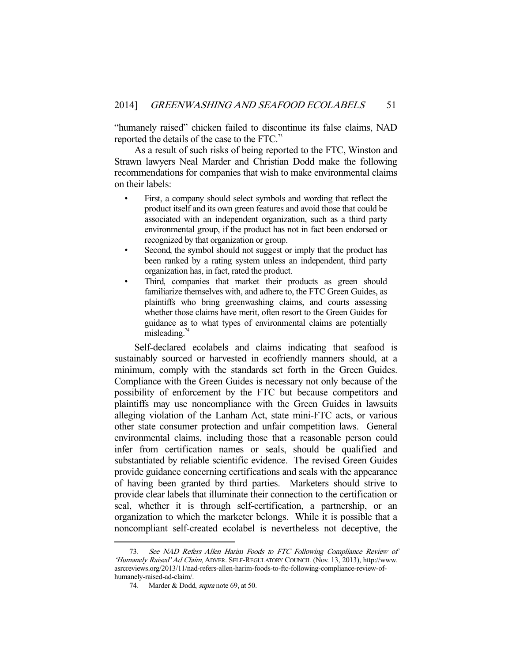"humanely raised" chicken failed to discontinue its false claims, NAD reported the details of the case to the FTC.<sup>73</sup>

 As a result of such risks of being reported to the FTC, Winston and Strawn lawyers Neal Marder and Christian Dodd make the following recommendations for companies that wish to make environmental claims on their labels:

- First, a company should select symbols and wording that reflect the product itself and its own green features and avoid those that could be associated with an independent organization, such as a third party environmental group, if the product has not in fact been endorsed or recognized by that organization or group.
- Second, the symbol should not suggest or imply that the product has been ranked by a rating system unless an independent, third party organization has, in fact, rated the product.
- Third, companies that market their products as green should familiarize themselves with, and adhere to, the FTC Green Guides, as plaintiffs who bring greenwashing claims, and courts assessing whether those claims have merit, often resort to the Green Guides for guidance as to what types of environmental claims are potentially misleading.<sup>74</sup>

 Self-declared ecolabels and claims indicating that seafood is sustainably sourced or harvested in ecofriendly manners should, at a minimum, comply with the standards set forth in the Green Guides. Compliance with the Green Guides is necessary not only because of the possibility of enforcement by the FTC but because competitors and plaintiffs may use noncompliance with the Green Guides in lawsuits alleging violation of the Lanham Act, state mini-FTC acts, or various other state consumer protection and unfair competition laws. General environmental claims, including those that a reasonable person could infer from certification names or seals, should be qualified and substantiated by reliable scientific evidence. The revised Green Guides provide guidance concerning certifications and seals with the appearance of having been granted by third parties. Marketers should strive to provide clear labels that illuminate their connection to the certification or seal, whether it is through self-certification, a partnership, or an organization to which the marketer belongs. While it is possible that a noncompliant self-created ecolabel is nevertheless not deceptive, the

 <sup>73.</sup> See NAD Refers Allen Harim Foods to FTC Following Compliance Review of 'Humanely Raised' Ad Claim, ADVER. SELF-REGULATORY COUNCIL (Nov. 13, 2013), http://www. asrcreviews.org/2013/11/nad-refers-allen-harim-foods-to-ftc-following-compliance-review-ofhumanely-raised-ad-claim/.

<sup>74.</sup> Marder & Dodd, *supra* note 69, at 50.